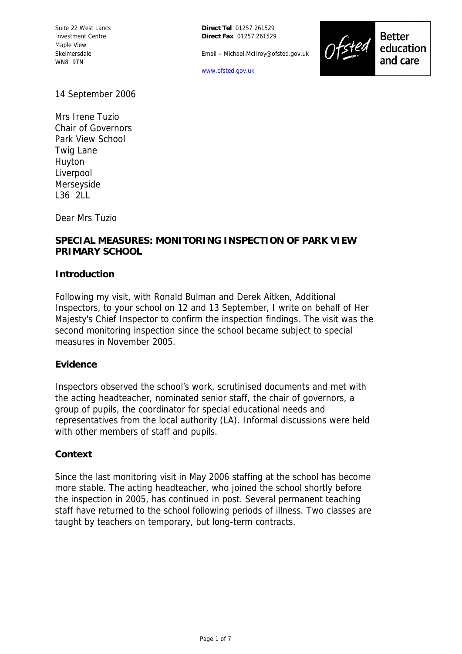Suite 22 West Lancs Investment Centre Maple View Skelmersdale WN8 9TN

**Direct Tel** 01257 261529 **Direct Fax** 01257 261529

Email – Michael.McIlroy@ofsted.gov.uk

www.ofsted.gov.uk



**Better** education and care

14 September 2006

Mrs Irene Tuzio Chair of Governors Park View School Twig Lane Huyton Liverpool Merseyside L36 2LL

Dear Mrs Tuzio

# **SPECIAL MEASURES: MONITORING INSPECTION OF PARK VIEW PRIMARY SCHOOL**

### **Introduction**

Following my visit, with Ronald Bulman and Derek Aitken, Additional Inspectors, to your school on 12 and 13 September, I write on behalf of Her Majesty's Chief Inspector to confirm the inspection findings. The visit was the second monitoring inspection since the school became subject to special measures in November 2005.

#### **Evidence**

Inspectors observed the school's work, scrutinised documents and met with the acting headteacher, nominated senior staff, the chair of governors, a group of pupils, the coordinator for special educational needs and representatives from the local authority (LA). Informal discussions were held with other members of staff and pupils.

#### **Context**

Since the last monitoring visit in May 2006 staffing at the school has become more stable. The acting headteacher, who joined the school shortly before the inspection in 2005, has continued in post. Several permanent teaching staff have returned to the school following periods of illness. Two classes are taught by teachers on temporary, but long-term contracts.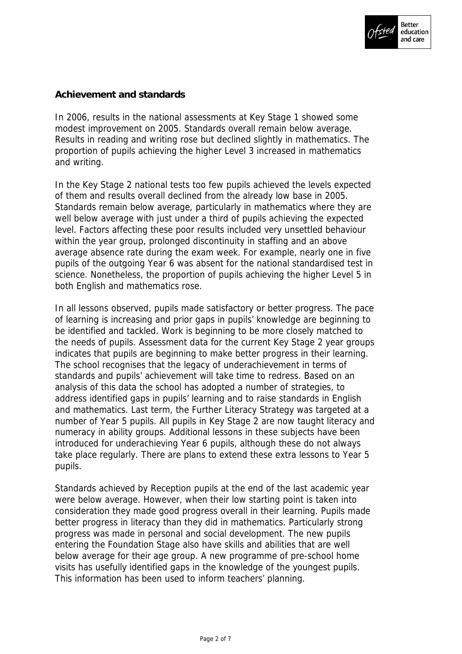

# **Achievement and standards**

In 2006, results in the national assessments at Key Stage 1 showed some modest improvement on 2005. Standards overall remain below average. Results in reading and writing rose but declined slightly in mathematics. The proportion of pupils achieving the higher Level 3 increased in mathematics and writing.

In the Key Stage 2 national tests too few pupils achieved the levels expected of them and results overall declined from the already low base in 2005. Standards remain below average, particularly in mathematics where they are well below average with just under a third of pupils achieving the expected level. Factors affecting these poor results included very unsettled behaviour within the year group, prolonged discontinuity in staffing and an above average absence rate during the exam week. For example, nearly one in five pupils of the outgoing Year 6 was absent for the national standardised test in science. Nonetheless, the proportion of pupils achieving the higher Level 5 in both English and mathematics rose.

In all lessons observed, pupils made satisfactory or better progress. The pace of learning is increasing and prior gaps in pupils' knowledge are beginning to be identified and tackled. Work is beginning to be more closely matched to the needs of pupils. Assessment data for the current Key Stage 2 year groups indicates that pupils are beginning to make better progress in their learning. The school recognises that the legacy of underachievement in terms of standards and pupils' achievement will take time to redress. Based on an analysis of this data the school has adopted a number of strategies, to address identified gaps in pupils' learning and to raise standards in English and mathematics. Last term, the Further Literacy Strategy was targeted at a number of Year 5 pupils. All pupils in Key Stage 2 are now taught literacy and numeracy in ability groups. Additional lessons in these subjects have been introduced for underachieving Year 6 pupils, although these do not always take place regularly. There are plans to extend these extra lessons to Year 5 pupils.

Standards achieved by Reception pupils at the end of the last academic year were below average. However, when their low starting point is taken into consideration they made good progress overall in their learning. Pupils made better progress in literacy than they did in mathematics. Particularly strong progress was made in personal and social development. The new pupils entering the Foundation Stage also have skills and abilities that are well below average for their age group. A new programme of pre-school home visits has usefully identified gaps in the knowledge of the youngest pupils. This information has been used to inform teachers' planning.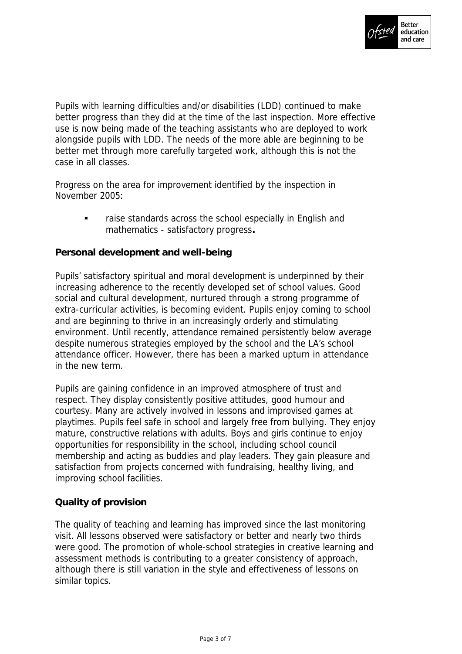

Pupils with learning difficulties and/or disabilities (LDD) continued to make better progress than they did at the time of the last inspection. More effective use is now being made of the teaching assistants who are deployed to work alongside pupils with LDD. The needs of the more able are beginning to be better met through more carefully targeted work, although this is not the case in all classes.

Progress on the area for improvement identified by the inspection in November 2005:

> raise standards across the school especially in English and mathematics - satisfactory progress**.**

**Personal development and well-being**

Pupils' satisfactory spiritual and moral development is underpinned by their increasing adherence to the recently developed set of school values. Good social and cultural development, nurtured through a strong programme of extra-curricular activities, is becoming evident. Pupils enjoy coming to school and are beginning to thrive in an increasingly orderly and stimulating environment. Until recently, attendance remained persistently below average despite numerous strategies employed by the school and the LA's school attendance officer. However, there has been a marked upturn in attendance in the new term.

Pupils are gaining confidence in an improved atmosphere of trust and respect. They display consistently positive attitudes, good humour and courtesy. Many are actively involved in lessons and improvised games at playtimes. Pupils feel safe in school and largely free from bullying. They enjoy mature, constructive relations with adults. Boys and girls continue to enjoy opportunities for responsibility in the school, including school council membership and acting as buddies and play leaders. They gain pleasure and satisfaction from projects concerned with fundraising, healthy living, and improving school facilities.

## **Quality of provision**

The quality of teaching and learning has improved since the last monitoring visit. All lessons observed were satisfactory or better and nearly two thirds were good. The promotion of whole-school strategies in creative learning and assessment methods is contributing to a greater consistency of approach, although there is still variation in the style and effectiveness of lessons on similar topics.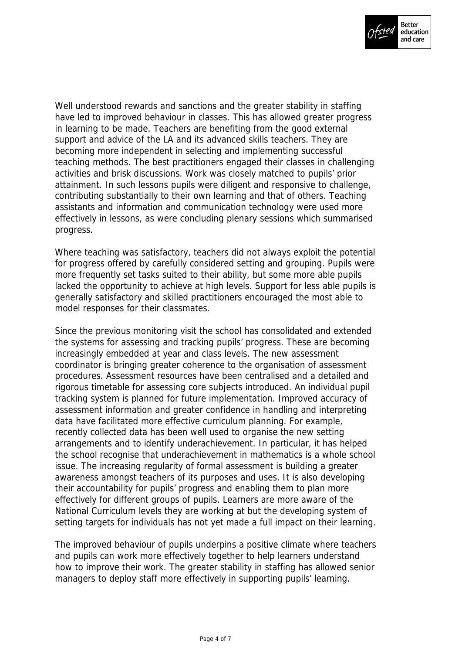

Well understood rewards and sanctions and the greater stability in staffing have led to improved behaviour in classes. This has allowed greater progress in learning to be made. Teachers are benefiting from the good external support and advice of the LA and its advanced skills teachers. They are becoming more independent in selecting and implementing successful teaching methods. The best practitioners engaged their classes in challenging activities and brisk discussions. Work was closely matched to pupils' prior attainment. In such lessons pupils were diligent and responsive to challenge, contributing substantially to their own learning and that of others. Teaching assistants and information and communication technology were used more effectively in lessons, as were concluding plenary sessions which summarised progress.

Where teaching was satisfactory, teachers did not always exploit the potential for progress offered by carefully considered setting and grouping. Pupils were more frequently set tasks suited to their ability, but some more able pupils lacked the opportunity to achieve at high levels. Support for less able pupils is generally satisfactory and skilled practitioners encouraged the most able to model responses for their classmates.

Since the previous monitoring visit the school has consolidated and extended the systems for assessing and tracking pupils' progress. These are becoming increasingly embedded at year and class levels. The new assessment coordinator is bringing greater coherence to the organisation of assessment procedures. Assessment resources have been centralised and a detailed and rigorous timetable for assessing core subjects introduced. An individual pupil tracking system is planned for future implementation. Improved accuracy of assessment information and greater confidence in handling and interpreting data have facilitated more effective curriculum planning. For example, recently collected data has been well used to organise the new setting arrangements and to identify underachievement. In particular, it has helped the school recognise that underachievement in mathematics is a whole school issue. The increasing regularity of formal assessment is building a greater awareness amongst teachers of its purposes and uses. It is also developing their accountability for pupils' progress and enabling them to plan more effectively for different groups of pupils. Learners are more aware of the National Curriculum levels they are working at but the developing system of setting targets for individuals has not yet made a full impact on their learning.

The improved behaviour of pupils underpins a positive climate where teachers and pupils can work more effectively together to help learners understand how to improve their work. The greater stability in staffing has allowed senior managers to deploy staff more effectively in supporting pupils' learning.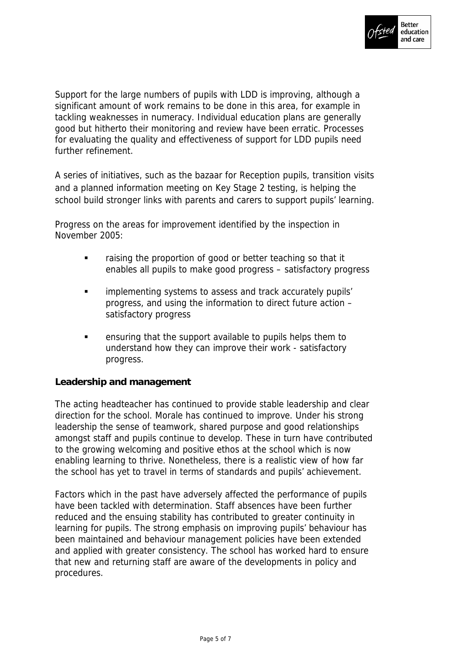

Support for the large numbers of pupils with LDD is improving, although a significant amount of work remains to be done in this area, for example in tackling weaknesses in numeracy. Individual education plans are generally good but hitherto their monitoring and review have been erratic. Processes for evaluating the quality and effectiveness of support for LDD pupils need further refinement.

A series of initiatives, such as the bazaar for Reception pupils, transition visits and a planned information meeting on Key Stage 2 testing, is helping the school build stronger links with parents and carers to support pupils' learning.

Progress on the areas for improvement identified by the inspection in November 2005:

- **Faising the proportion of good or better teaching so that it** enables all pupils to make good progress – satisfactory progress
- **EXECUTE:** implementing systems to assess and track accurately pupils' progress, and using the information to direct future action – satisfactory progress
- ensuring that the support available to pupils helps them to understand how they can improve their work - satisfactory progress.

**Leadership and management**

The acting headteacher has continued to provide stable leadership and clear direction for the school. Morale has continued to improve. Under his strong leadership the sense of teamwork, shared purpose and good relationships amongst staff and pupils continue to develop. These in turn have contributed to the growing welcoming and positive ethos at the school which is now enabling learning to thrive. Nonetheless, there is a realistic view of how far the school has yet to travel in terms of standards and pupils' achievement.

Factors which in the past have adversely affected the performance of pupils have been tackled with determination. Staff absences have been further reduced and the ensuing stability has contributed to greater continuity in learning for pupils. The strong emphasis on improving pupils' behaviour has been maintained and behaviour management policies have been extended and applied with greater consistency. The school has worked hard to ensure that new and returning staff are aware of the developments in policy and procedures.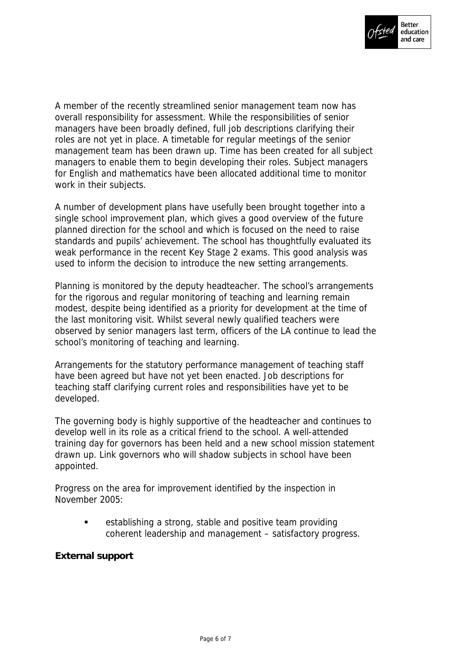

A member of the recently streamlined senior management team now has overall responsibility for assessment. While the responsibilities of senior managers have been broadly defined, full job descriptions clarifying their roles are not yet in place. A timetable for regular meetings of the senior management team has been drawn up. Time has been created for all subject managers to enable them to begin developing their roles. Subject managers for English and mathematics have been allocated additional time to monitor work in their subjects.

A number of development plans have usefully been brought together into a single school improvement plan, which gives a good overview of the future planned direction for the school and which is focused on the need to raise standards and pupils' achievement. The school has thoughtfully evaluated its weak performance in the recent Key Stage 2 exams. This good analysis was used to inform the decision to introduce the new setting arrangements.

Planning is monitored by the deputy headteacher. The school's arrangements for the rigorous and regular monitoring of teaching and learning remain modest, despite being identified as a priority for development at the time of the last monitoring visit. Whilst several newly qualified teachers were observed by senior managers last term, officers of the LA continue to lead the school's monitoring of teaching and learning.

Arrangements for the statutory performance management of teaching staff have been agreed but have not yet been enacted. Job descriptions for teaching staff clarifying current roles and responsibilities have yet to be developed.

The governing body is highly supportive of the headteacher and continues to develop well in its role as a critical friend to the school. A well-attended training day for governors has been held and a new school mission statement drawn up. Link governors who will shadow subjects in school have been appointed.

Progress on the area for improvement identified by the inspection in November 2005:

> establishing a strong, stable and positive team providing coherent leadership and management – satisfactory progress.

**External support**